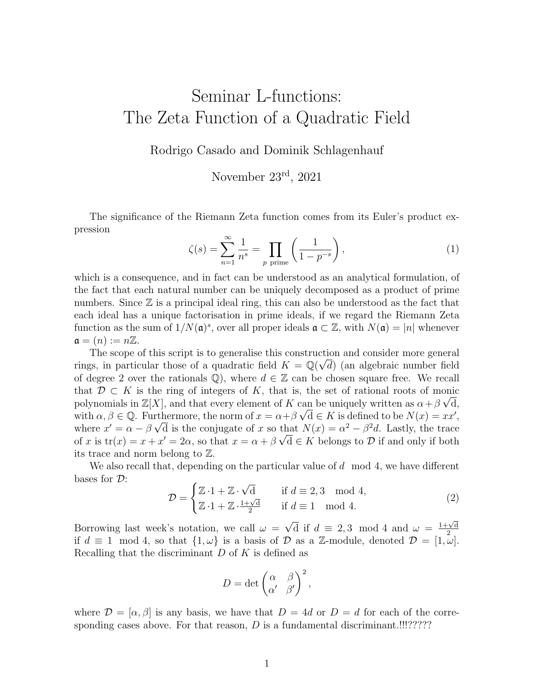## Seminar L-functions: The Zeta Function of a Quadratic Field

Rodrigo Casado and Dominik Schlagenhauf

November 23rd, 2021

The significance of the Riemann Zeta function comes from its Euler's product expression

<span id="page-0-0"></span>
$$
\zeta(s) = \sum_{n=1}^{\infty} \frac{1}{n^s} = \prod_{p \text{ prime}} \left( \frac{1}{1 - p^{-s}} \right),\tag{1}
$$

which is a consequence, and in fact can be understood as an analytical formulation, of the fact that each natural number can be uniquely decomposed as a product of prime numbers. Since  $\mathbb Z$  is a principal ideal ring, this can also be understood as the fact that each ideal has a unique factorisation in prime ideals, if we regard the Riemann Zeta function as the sum of  $1/N(\mathfrak{a})^s$ , over all proper ideals  $\mathfrak{a} \subset \mathbb{Z}$ , with  $N(\mathfrak{a}) = |n|$  whenever  $\mathfrak{a} = (n) := n\mathbb{Z}.$ 

The scope of this script is to generalise this construction and consider more general rings, in particular those of a quadratic field  $K = \mathbb{Q}(\sqrt{d})$  (an algebraic number field of degree 2 over the rationals  $\mathbb{Q}$ , where  $d \in \mathbb{Z}$  can be chosen square free. We recall that  $\mathcal{D} \subset K$  is the ring of integers of K, that is, the set of rational roots of monic polynomials in  $\mathbb{Z}[X]$ , and that every element of K can be uniquely written as  $\alpha + \beta \sqrt{d}$ , with  $\alpha, \beta \in \mathbb{Q}$ . Furthermore, the norm of  $x = \alpha + \beta \sqrt{d} \in K$  is defined to be  $N(x) = xx'$ , where  $x' = \alpha - \beta \sqrt{d}$  is the conjugate of x so that  $N(x) = \alpha^2 - \beta^2 d$ . Lastly, the trace of x is  $tr(x) = x + x' = 2\alpha$ , so that  $x = \alpha + \beta \sqrt{d} \in K$  belongs to  $D$  if and only if both its trace and norm belong to Z.

We also recall that, depending on the particular value of  $d \mod 4$ , we have different bases for D: √

$$
\mathcal{D} = \begin{cases} \mathbb{Z} \cdot 1 + \mathbb{Z} \cdot \sqrt{d} & \text{if } d \equiv 2, 3 \mod 4, \\ \mathbb{Z} \cdot 1 + \mathbb{Z} \cdot \frac{1 + \sqrt{d}}{2} & \text{if } d \equiv 1 \mod 4. \end{cases}
$$
 (2)

Borrowing last week's notation, we call  $\omega =$ √  $\overline{d}$  if  $d \equiv 2, 3 \mod 4$  and  $\omega = \frac{1+\sqrt{d}}{2}$ 2 if  $d \equiv 1 \mod 4$ , so that  $\{1, \omega\}$  is a basis of  $\mathcal D$  as a Z-module, denoted  $\mathcal D = [1, \omega]$ . Recalling that the discriminant  $D$  of  $K$  is defined as

$$
D = \det \begin{pmatrix} \alpha & \beta \\ \alpha' & \beta' \end{pmatrix}^2,
$$

where  $\mathcal{D} = [\alpha, \beta]$  is any basis, we have that  $D = 4d$  or  $D = d$  for each of the corresponding cases above. For that reason,  $D$  is a fundamental discriminant.!!!?????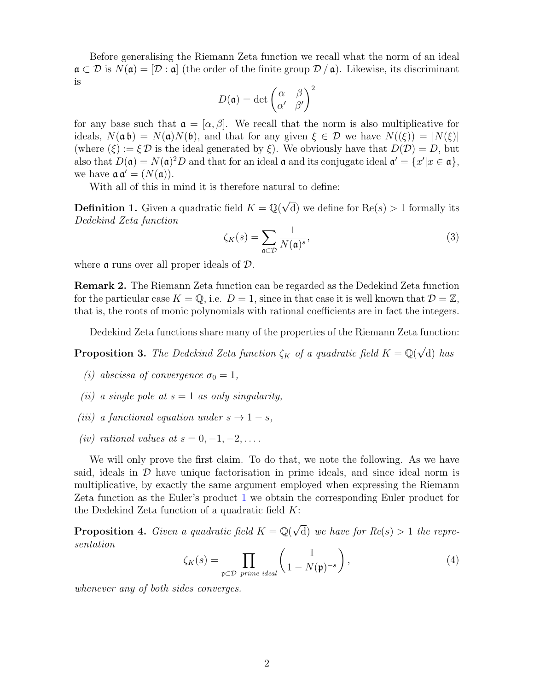Before generalising the Riemann Zeta function we recall what the norm of an ideal  $\mathfrak{a} \subset \mathcal{D}$  is  $N(\mathfrak{a}) = [\mathcal{D} : \mathfrak{a}]$  (the order of the finite group  $\mathcal{D}/\mathfrak{a}$ ). Likewise, its discriminant is 2

$$
D(\mathfrak{a}) = \det \begin{pmatrix} \alpha & \beta \\ \alpha' & \beta' \end{pmatrix}^2
$$

for any base such that  $\mathfrak{a} = [\alpha, \beta]$ . We recall that the norm is also multiplicative for ideals,  $N(\mathfrak{a} \mathfrak{b}) = N(\mathfrak{a})N(\mathfrak{b})$ , and that for any given  $\xi \in \mathcal{D}$  we have  $N((\xi)) = |N(\xi)|$ (where  $(\xi) := \xi \mathcal{D}$  is the ideal generated by  $\xi$ ). We obviously have that  $D(\mathcal{D}) = D$ , but also that  $D(\mathfrak{a}) = N(\mathfrak{a})^2 D$  and that for an ideal  $\mathfrak{a}$  and its conjugate ideal  $\mathfrak{a}' = \{x' | x \in \mathfrak{a}\},\$ we have  $\mathfrak{a} \mathfrak{a}' = (N(\mathfrak{a})).$ 

With all of this in mind it is therefore natural to define:

**Definition 1.** Given a quadratic field  $K = \mathbb{Q}(\sqrt{2})$ d) we define for  $Re(s) > 1$  formally its Dedekind Zeta function

$$
\zeta_K(s) = \sum_{\mathfrak{a} \subset \mathcal{D}} \frac{1}{N(\mathfrak{a})^s},\tag{3}
$$

where  $\alpha$  runs over all proper ideals of  $\mathcal{D}$ .

Remark 2. The Riemann Zeta function can be regarded as the Dedekind Zeta function for the particular case  $K = \mathbb{Q}$ , i.e.  $D = 1$ , since in that case it is well known that  $\mathcal{D} = \mathbb{Z}$ , that is, the roots of monic polynomials with rational coefficients are in fact the integers.

Dedekind Zeta functions share many of the properties of the Riemann Zeta function:

**Proposition 3.** The Dedekind Zeta function  $\zeta_K$  of a quadratic field  $K = \mathbb{Q}(\sqrt{2})$ d) has

- <span id="page-1-0"></span>(i) abscissa of convergence  $\sigma_0 = 1$ ,
- (ii) a single pole at  $s = 1$  as only singularity,
- (iii) a functional equation under  $s \to 1-s$ ,
- (iv) rational values at  $s = 0, -1, -2, \ldots$ .

We will only prove the first claim. To do that, we note the following. As we have said, ideals in  $\mathcal D$  have unique factorisation in prime ideals, and since ideal norm is multiplicative, by exactly the same argument employed when expressing the Riemann Zeta function as the Euler's product [1](#page-0-0) we obtain the corresponding Euler product for the Dedekind Zeta function of a quadratic field  $K$ :

**Proposition 4.** Given a quadratic field  $K = \mathbb{Q}(\sqrt{2})$ d) we have for  $Re(s) > 1$  the representation

$$
\zeta_K(s) = \prod_{\mathfrak{p} \subset \mathcal{D} \text{ prime ideal}} \left( \frac{1}{1 - N(\mathfrak{p})^{-s}} \right),\tag{4}
$$

whenever any of both sides converges.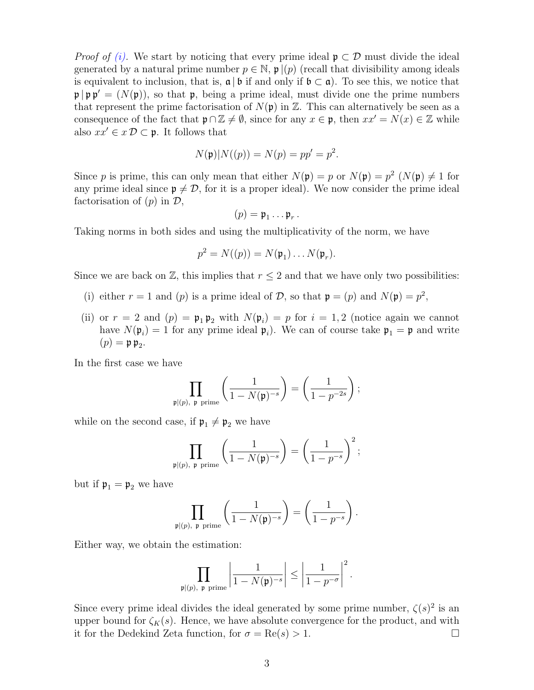*Proof of [\(i\).](#page-1-0)* We start by noticing that every prime ideal  $\mathfrak{p} \subset \mathcal{D}$  must divide the ideal generated by a natural prime number  $p \in \mathbb{N}$ ,  $\mathfrak{p} | (p)$  (recall that divisibility among ideals is equivalent to inclusion, that is,  $\mathfrak{a} \mid \mathfrak{b}$  if and only if  $\mathfrak{b} \subset \mathfrak{a}$ ). To see this, we notice that  $\mathfrak{p} | \mathfrak{p} \mathfrak{p}' = (N(\mathfrak{p}))$ , so that  $\mathfrak{p}$ , being a prime ideal, must divide one the prime numbers that represent the prime factorisation of  $N(\mathfrak{p})$  in  $\mathbb{Z}$ . This can alternatively be seen as a consequence of the fact that  $\mathfrak{p} \cap \mathbb{Z} \neq \emptyset$ , since for any  $x \in \mathfrak{p}$ , then  $xx' = N(x) \in \mathbb{Z}$  while also  $xx' \in x \mathcal{D} \subset \mathfrak{p}$ . It follows that

$$
N(\mathfrak{p})|N((p)) = N(p) = pp' = p^2.
$$

Since p is prime, this can only mean that either  $N(\mathfrak{p}) = p$  or  $N(\mathfrak{p}) = p^2$   $(N(\mathfrak{p}) \neq 1$  for any prime ideal since  $p \neq \mathcal{D}$ , for it is a proper ideal). We now consider the prime ideal factorisation of  $(p)$  in  $\mathcal{D}$ ,

$$
(p) = \mathfrak{p}_1 \dots \mathfrak{p}_r
$$

.

Taking norms in both sides and using the multiplicativity of the norm, we have

$$
p^2 = N((p)) = N(\mathfrak{p}_1) \dots N(\mathfrak{p}_r).
$$

Since we are back on  $\mathbb{Z}$ , this implies that  $r \leq 2$  and that we have only two possibilities:

- (i) either  $r = 1$  and  $(p)$  is a prime ideal of  $\mathcal{D}$ , so that  $\mathfrak{p} = (p)$  and  $N(\mathfrak{p}) = p^2$ ,
- (ii) or  $r = 2$  and  $(p) = \mathfrak{p}_1 \mathfrak{p}_2$  with  $N(\mathfrak{p}_i) = p$  for  $i = 1, 2$  (notice again we cannot have  $N(\mathfrak{p}_i) = 1$  for any prime ideal  $\mathfrak{p}_i$ ). We can of course take  $\mathfrak{p}_1 = \mathfrak{p}$  and write  $(p) = \mathfrak{p} \mathfrak{p}_2.$

In the first case we have

$$
\prod_{\mathfrak{p} | (p), \mathfrak{p} \text{ prime}} \left( \frac{1}{1 - N(\mathfrak{p})^{-s}} \right) = \left( \frac{1}{1 - p^{-2s}} \right);
$$

while on the second case, if  $\mathfrak{p}_1 \neq \mathfrak{p}_2$  we have

$$
\prod_{\mathfrak{p} | (p), \mathfrak{p} \text{ prime}} \left( \frac{1}{1 - N(\mathfrak{p})^{-s}} \right) = \left( \frac{1}{1 - p^{-s}} \right)^2;
$$

but if  $\mathfrak{p}_1 = \mathfrak{p}_2$  we have

$$
\prod_{\mathfrak{p} | (p), \mathfrak{p} \text{ prime}} \left( \frac{1}{1 - N(\mathfrak{p})^{-s}} \right) = \left( \frac{1}{1 - p^{-s}} \right).
$$

Either way, we obtain the estimation:

$$
\prod_{\mathfrak{p} | (p), \ \mathfrak{p} \text{ prime}} \left| \frac{1}{1 - N(\mathfrak{p})^{-s}} \right| \le \left| \frac{1}{1 - p^{-\sigma}} \right|^2.
$$

Since every prime ideal divides the ideal generated by some prime number,  $\zeta(s)^2$  is an upper bound for  $\zeta_K(s)$ . Hence, we have absolute convergence for the product, and with it for the Dedekind Zeta function, for  $\sigma = \text{Re}(s) > 1$ .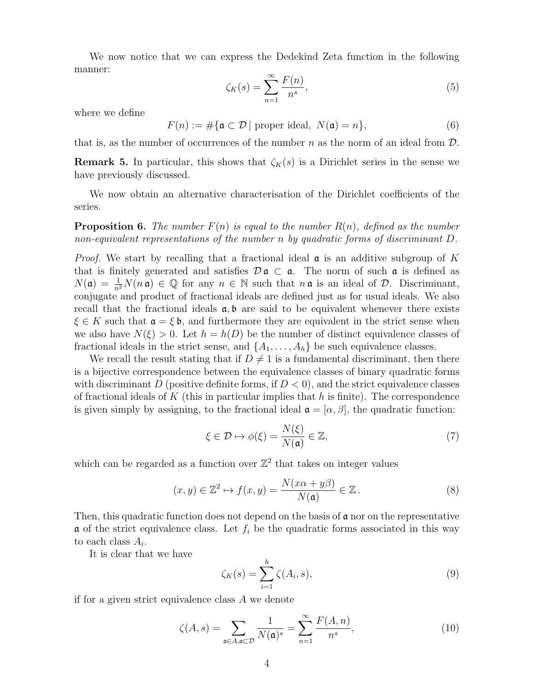We now notice that we can express the Dedekind Zeta function in the following manner:

$$
\zeta_K(s) = \sum_{n=1}^{\infty} \frac{F(n)}{n^s},\tag{5}
$$

where we define

$$
F(n) := \#\{\mathfrak{a} \subset \mathcal{D} \mid \text{proper ideal}, \ N(\mathfrak{a}) = n\},\tag{6}
$$

that is, as the number of occurrences of the number n as the norm of an ideal from  $\mathcal{D}$ .

**Remark 5.** In particular, this shows that  $\zeta_K(s)$  is a Dirichlet series in the sense we have previously discussed.

We now obtain an alternative characterisation of the Dirichlet coefficients of the series.

**Proposition 6.** The number  $F(n)$  is equal to the number  $R(n)$ , defined as the number non-equivalent representations of the number n by quadratic forms of discriminant D.

*Proof.* We start by recalling that a fractional ideal  $\alpha$  is an additive subgroup of K that is finitely generated and satisfies  $\mathcal{D} \mathfrak{a} \subset \mathfrak{a}$ . The norm of such  $\mathfrak{a}$  is defined as  $N(\mathfrak{a}) = \frac{1}{n^2} N(n \mathfrak{a}) \in \mathbb{Q}$  for any  $n \in \mathbb{N}$  such that  $n \mathfrak{a}$  is an ideal of  $\mathcal{D}$ . Discriminant, conjugate and product of fractional ideals are defined just as for usual ideals. We also recall that the fractional ideals  $a, b$  are said to be equivalent whenever there exists  $\xi \in K$  such that  $\mathfrak{a} = \xi \mathfrak{b}$ , and furthermore they are equivalent in the strict sense when we also have  $N(\xi) > 0$ . Let  $h = h(D)$  be the number of distinct equivalence classes of fractional ideals in the strict sense, and  $\{A_1, \ldots, A_h\}$  be such equivalence classes.

We recall the result stating that if  $D \neq 1$  is a fundamental discriminant, then there is a bijective correspondence between the equivalence classes of binary quadratic forms with discriminant D (positive definite forms, if  $D < 0$ ), and the strict equivalence classes of fractional ideals of K (this in particular implies that  $h$  is finite). The correspondence is given simply by assigning, to the fractional ideal  $\mathfrak{a} = [\alpha, \beta]$ , the quadratic function:

<span id="page-3-0"></span>
$$
\xi \in \mathcal{D} \mapsto \phi(\xi) = \frac{N(\xi)}{N(\mathfrak{a})} \in \mathbb{Z},\tag{7}
$$

which can be regarded as a function over  $\mathbb{Z}^2$  that takes on integer values

$$
(x,y) \in \mathbb{Z}^2 \mapsto f(x,y) = \frac{N(x\alpha + y\beta)}{N(\mathfrak{a})} \in \mathbb{Z} \,. \tag{8}
$$

Then, this quadratic function does not depend on the basis of  $\mathfrak a$  nor on the representative  $\alpha$  of the strict equivalence class. Let  $f_i$  be the quadratic forms associated in this way to each class  $A_i$ .

It is clear that we have

$$
\zeta_K(s) = \sum_{i=1}^h \zeta(A_i, s),\tag{9}
$$

if for a given strict equivalence class A we denote

$$
\zeta(A,s) = \sum_{\mathfrak{a} \in A, \mathfrak{a} \subset \mathcal{D}} \frac{1}{N(\mathfrak{a})^s} = \sum_{n=1}^{\infty} \frac{F(A,n)}{n^s},\tag{10}
$$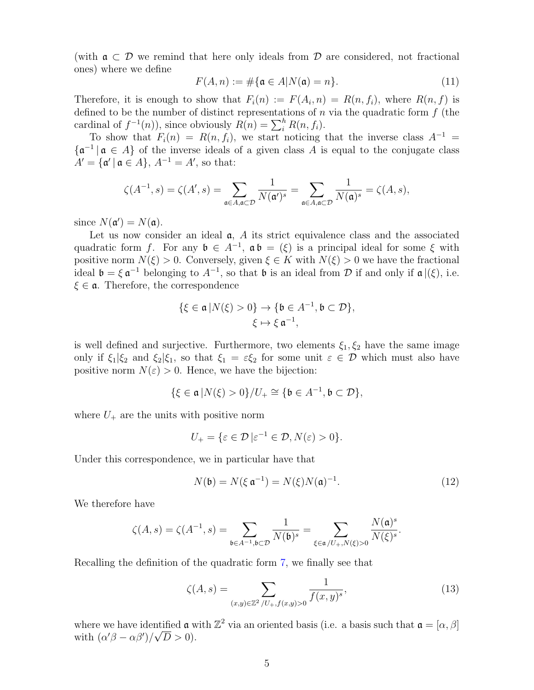(with  $a \subset \mathcal{D}$  we remind that here only ideals from  $\mathcal{D}$  are considered, not fractional ones) where we define

$$
F(A, n) := \# \{ \mathfrak{a} \in A | N(\mathfrak{a}) = n \}.
$$
\n
$$
(11)
$$

Therefore, it is enough to show that  $F_i(n) := F(A_i, n) = R(n, f_i)$ , where  $R(n, f)$  is defined to be the number of distinct representations of  $n$  via the quadratic form  $f$  (the cardinal of  $f^{-1}(n)$ , since obviously  $R(n) = \sum_{i=1}^{h} R(n, f_i)$ .

To show that  $F_i(n) = R(n, f_i)$ , we start noticing that the inverse class  $A^{-1} =$  $\{\mathfrak{a}^{-1} \mid \mathfrak{a} \in A\}$  of the inverse ideals of a given class A is equal to the conjugate class  $A' = {\mathfrak{a}' | \mathfrak{a} \in A}, A^{-1} = A'$ , so that:

$$
\zeta(A^{-1},s) = \zeta(A',s) = \sum_{\mathfrak{a}\in A,\mathfrak{a}\subset\mathcal{D}}\frac{1}{N(\mathfrak{a}')^s} = \sum_{\mathfrak{a}\in A,\mathfrak{a}\subset\mathcal{D}}\frac{1}{N(\mathfrak{a})^s} = \zeta(A,s),
$$

since  $N(\mathfrak{a}') = N(\mathfrak{a})$ .

Let us now consider an ideal  $a$ ,  $A$  its strict equivalence class and the associated quadratic form f. For any  $\mathfrak{b} \in A^{-1}$ ,  $\mathfrak{a} \mathfrak{b} = (\xi)$  is a principal ideal for some  $\xi$  with positive norm  $N(\xi) > 0$ . Conversely, given  $\xi \in K$  with  $N(\xi) > 0$  we have the fractional ideal  $\mathfrak{b} = \xi \mathfrak{a}^{-1}$  belonging to  $A^{-1}$ , so that  $\mathfrak{b}$  is an ideal from  $\mathcal D$  if and only if  $\mathfrak{a} |(\xi)$ , i.e.  $\xi \in \mathfrak{a}$ . Therefore, the correspondence

$$
\{\xi \in \mathfrak{a} | N(\xi) > 0\} \to \{\mathfrak{b} \in A^{-1}, \mathfrak{b} \subset \mathcal{D}\},\
$$

$$
\xi \mapsto \xi \mathfrak{a}^{-1},
$$

is well defined and surjective. Furthermore, two elements  $\xi_1, \xi_2$  have the same image only if  $\xi_1|\xi_2$  and  $\xi_2|\xi_1$ , so that  $\xi_1 = \varepsilon \xi_2$  for some unit  $\varepsilon \in \mathcal{D}$  which must also have positive norm  $N(\varepsilon) > 0$ . Hence, we have the bijection:

$$
\{\xi\in\mathfrak{a}\,\vert N(\xi)>0\}/U_+\cong\{\mathfrak{b}\in A^{-1},\mathfrak{b}\subset\mathcal{D}\},
$$

where  $U_{+}$  are the units with positive norm

$$
U_{+} = \{ \varepsilon \in \mathcal{D} \, | \varepsilon^{-1} \in \mathcal{D}, N(\varepsilon) > 0 \}.
$$

Under this correspondence, we in particular have that

$$
N(\mathfrak{b}) = N(\xi \mathfrak{a}^{-1}) = N(\xi)N(\mathfrak{a})^{-1}.
$$
 (12)

We therefore have

$$
\zeta(A,s)=\zeta(A^{-1},s)=\sum_{\mathfrak{b}\in A^{-1},\mathfrak{b}\subset \mathcal{D}}\frac{1}{N(\mathfrak{b})^{s}}=\sum_{\xi\in \mathfrak{a}/U_{+}, N(\xi)>0}\frac{N(\mathfrak{a})^{s}}{N(\xi)^{s}}.
$$

Recalling the definition of the quadratic form [7,](#page-3-0) we finally see that

<span id="page-4-0"></span>
$$
\zeta(A,s) = \sum_{(x,y)\in\mathbb{Z}^2 \setminus U_+, f(x,y)>0} \frac{1}{f(x,y)^s},\tag{13}
$$

where we have identified  $\mathfrak{a}$  with  $\mathbb{Z}^2$  via an oriented basis (i.e. a basis such that  $\mathfrak{a} = [\alpha, \beta]$ with  $(\alpha'\beta - \alpha\beta')/\sqrt{D} > 0$ .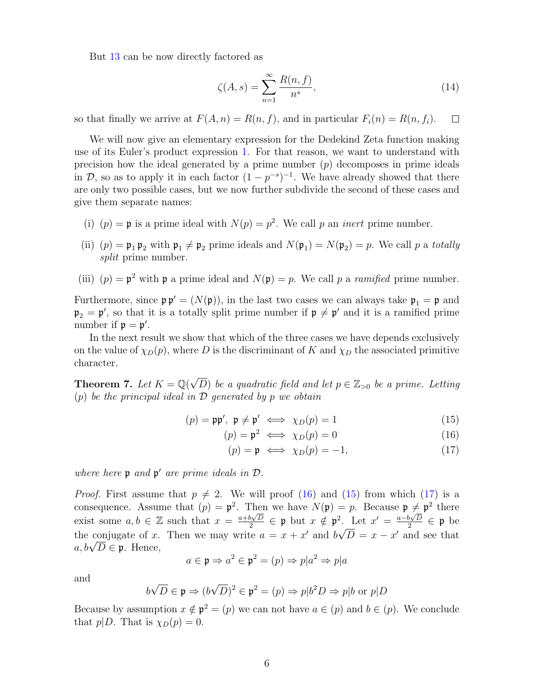But [13](#page-4-0) can be now directly factored as

$$
\zeta(A,s) = \sum_{n=1}^{\infty} \frac{R(n,f)}{n^s},\tag{14}
$$

so that finally we arrive at  $F(A, n) = R(n, f)$ , and in particular  $F_i(n) = R(n, f_i)$ .  $\Box$ 

We will now give an elementary expression for the Dedekind Zeta function making use of its Euler's product expression [1.](#page-0-0) For that reason, we want to understand with precision how the ideal generated by a prime number  $(p)$  decomposes in prime ideals in  $\mathcal{D}$ , so as to apply it in each factor  $(1 - p^{-s})^{-1}$ . We have already showed that there are only two possible cases, but we now further subdivide the second of these cases and give them separate names:

- (i)  $(p) = \mathfrak{p}$  is a prime ideal with  $N(p) = p^2$ . We call p an *inert* prime number.
- (ii)  $(p) = \mathfrak{p}_1 \mathfrak{p}_2$  with  $\mathfrak{p}_1 \neq \mathfrak{p}_2$  prime ideals and  $N(\mathfrak{p}_1) = N(\mathfrak{p}_2) = p$ . We call p a totally split prime number.
- (iii)  $(p) = \mathfrak{p}^2$  with  $\mathfrak{p}$  a prime ideal and  $N(\mathfrak{p}) = p$ . We call p a *ramified* prime number.

Furthermore, since  $\mathfrak{p} \mathfrak{p}' = (N(\mathfrak{p}))$ , in the last two cases we can always take  $\mathfrak{p}_1 = \mathfrak{p}$  and  $\mathfrak{p}_2 = \mathfrak{p}'$ , so that it is a totally split prime number if  $\mathfrak{p} \neq \mathfrak{p}'$  and it is a ramified prime number if  $p = p'$ .

In the next result we show that which of the three cases we have depends exclusively on the value of  $\chi_D(p)$ , where D is the discriminant of K and  $\chi_D$  the associated primitive character.

<span id="page-5-3"></span>**Theorem 7.** Let  $K = \mathbb{Q}(\sqrt{D})$  be a quadratic field and let  $p \in \mathbb{Z}_{>0}$  be a prime. Letting  $(p)$  be the principal ideal in  $\mathcal D$  generated by p we obtain

$$
(p) = \mathfrak{pp}', \ \mathfrak{p} \neq \mathfrak{p}' \iff \chi_D(p) = 1 \tag{15}
$$

$$
(p) = \mathfrak{p}^2 \iff \chi_D(p) = 0 \tag{16}
$$

<span id="page-5-2"></span><span id="page-5-1"></span><span id="page-5-0"></span>
$$
(p) = \mathfrak{p} \iff \chi_D(p) = -1,\tag{17}
$$

where here  $\mathfrak p$  and  $\mathfrak p'$  are prime ideals in  $\mathcal D$ .

*Proof.* First assume that  $p \neq 2$ . We will proof [\(16\)](#page-5-0) and [\(15\)](#page-5-1) from which [\(17\)](#page-5-2) is a consequence. Assume that  $(p) = \mathfrak{p}^2$ . Then we have  $N(\mathfrak{p}) = p$ . Because  $\mathfrak{p} \neq \mathfrak{p}^2$  there exist some  $a, b \in \mathbb{Z}$  such that  $x = \frac{a+b\sqrt{D}}{2}$  $\frac{b\sqrt{D}}{2} \in \mathfrak{p}$  but  $x \notin \mathfrak{p}^2$ . Let  $x' = \frac{a - b\sqrt{D}}{2}$ <sup>2</sup>. Let  $x' = \frac{a - b\sqrt{D}}{2} \in \mathfrak{p}$  be the conjugate of x. Then we may write  $a = x + x'$  and  $b\sqrt{D} = x - x'$  and see that the conjugate or x.<br>  $a, b\sqrt{D} \in \mathfrak{p}$ . Hence,

$$
a \in \mathfrak{p} \Rightarrow a^2 \in \mathfrak{p}^2 = (p) \Rightarrow p|a^2 \Rightarrow p|a
$$

and

$$
b\sqrt{D} \in \mathfrak{p} \Rightarrow (b\sqrt{D})^2 \in \mathfrak{p}^2 = (p) \Rightarrow p|b^2D \Rightarrow p|b \text{ or } p|D
$$

Because by assumption  $x \notin \mathfrak{p}^2 = (p)$  we can not have  $a \in (p)$  and  $b \in (p)$ . We conclude that  $p|D$ . That is  $\chi_D(p) = 0$ .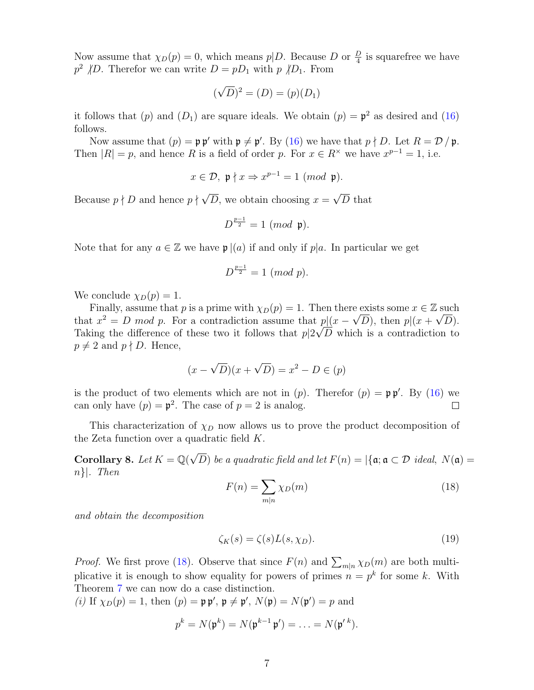Now assume that  $\chi_D(p) = 0$ , which means  $p \mid D$ . Because D or  $\frac{D}{4}$  is squarefree we have  $p^2$  /D. Therefor we can write  $D = pD_1$  with  $p$  /D<sub>1</sub>. From

$$
(\sqrt{D})^2 = (D) = (p)(D_1)
$$

it follows that (p) and (D<sub>1</sub>) are square ideals. We obtain (p) =  $\mathfrak{p}^2$  as desired and [\(16\)](#page-5-0) follows.

Now assume that  $(p) = \mathfrak{p} \mathfrak{p}'$  with  $\mathfrak{p} \neq \mathfrak{p}'$ . By [\(16\)](#page-5-0) we have that  $p \nmid D$ . Let  $R = \mathcal{D}/\mathfrak{p}$ . Then  $|R| = p$ , and hence R is a field of order p. For  $x \in R^{\times}$  we have  $x^{p-1} = 1$ , i.e.

$$
x\in\mathcal{D},\,\,\mathfrak{p}\nmid x\Rightarrow x^{p-1}=1\,\,(mod\ \, \mathfrak{p}).
$$

Because  $p \nmid D$  and hence  $p \nmid \sqrt{2}$ D, we obtain choosing  $x =$ √ D that

$$
D^{\frac{p-1}{2}}=1~(mod~\mathfrak{p}).
$$

Note that for any  $a \in \mathbb{Z}$  we have  $\mathfrak{p} | (a)$  if and only if  $p | a$ . In particular we get

$$
D^{\frac{p-1}{2}} = 1 \ (mod \ p).
$$

We conclude  $\chi_D(p) = 1$ .

Finally, assume that p is a prime with  $\chi_D(p) = 1$ . Then there exists some  $x \in \mathbb{Z}$  such that  $x^2 = D \mod p$ . For a contradiction assume that  $p(x - \sqrt{D})$ , then  $p(x + \sqrt{D})$ . Taking the difference of these two it follows that  $p|2\sqrt{D}$  which is a contradiction to  $p \neq 2$  and  $p \nmid D$ . Hence,

$$
(x - \sqrt{D})(x + \sqrt{D}) = x^2 - D \in (p)
$$

is the product of two elements which are not in  $(p)$ . Therefor  $(p) = \mathfrak{p} \mathfrak{p}'$ . By [\(16\)](#page-5-0) we can only have  $(p) = \mathfrak{p}^2$ . The case of  $p = 2$  is analog.  $\Box$ 

This characterization of  $\chi_D$  now allows us to prove the product decomposition of the Zeta function over a quadratic field K.

Corollary 8. Let  $K = \mathbb{Q}(\sqrt{2})$ D) be a quadratic field and let  $F(n) = |\{\mathfrak{a}; \mathfrak{a} \subset \mathcal{D} \text{ ideal}, N(\mathfrak{a}) =$ n}|. Then

<span id="page-6-0"></span>
$$
F(n) = \sum_{m|n} \chi_D(m) \tag{18}
$$

and obtain the decomposition

$$
\zeta_K(s) = \zeta(s)L(s,\chi_D). \tag{19}
$$

*Proof.* We first prove [\(18\)](#page-6-0). Observe that since  $F(n)$  and  $\sum_{m|n} \chi_D(m)$  are both multiplicative it is enough to show equality for powers of primes  $n = p^k$  for some k. With Theorem [7](#page-5-3) we can now do a case distinction.

(i) If  $\chi_D(p) = 1$ , then  $(p) = \mathfrak{p} \mathfrak{p}'$ ,  $\mathfrak{p} \neq \mathfrak{p}'$ ,  $N(\mathfrak{p}) = N(\mathfrak{p}') = p$  and

$$
p^k = N(\mathfrak{p}^k) = N(\mathfrak{p}^{k-1} \mathfrak{p}') = \ldots = N(\mathfrak{p}'^k).
$$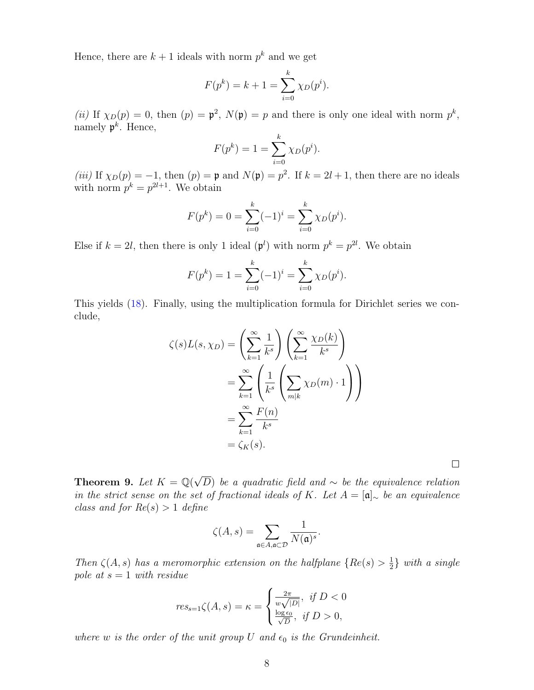Hence, there are  $k+1$  ideals with norm  $p^k$  and we get

$$
F(p^k) = k + 1 = \sum_{i=0}^{k} \chi_D(p^i).
$$

(*ii*) If  $\chi_D(p) = 0$ , then  $(p) = \mathfrak{p}^2$ ,  $N(\mathfrak{p}) = p$  and there is only one ideal with norm  $p^k$ , namely  $\mathfrak{p}^k$ . Hence,

$$
F(p^{k}) = 1 = \sum_{i=0}^{k} \chi_{D}(p^{i}).
$$

(iii) If  $\chi_D(p) = -1$ , then  $(p) = \mathfrak{p}$  and  $N(\mathfrak{p}) = p^2$ . If  $k = 2l + 1$ , then there are no ideals with norm  $p^k = p^{2l+1}$ . We obtain

$$
F(p^{k}) = 0 = \sum_{i=0}^{k} (-1)^{i} = \sum_{i=0}^{k} \chi_{D}(p^{i}).
$$

Else if  $k = 2l$ , then there is only 1 ideal  $(\mathfrak{p}^l)$  with norm  $p^k = p^{2l}$ . We obtain

$$
F(p^{k}) = 1 = \sum_{i=0}^{k} (-1)^{i} = \sum_{i=0}^{k} \chi_{D}(p^{i}).
$$

This yields [\(18\)](#page-6-0). Finally, using the multiplication formula for Dirichlet series we conclude,

$$
\zeta(s)L(s,\chi_D) = \left(\sum_{k=1}^{\infty} \frac{1}{k^s} \right) \left(\sum_{k=1}^{\infty} \frac{\chi_D(k)}{k^s} \right)
$$
  
= 
$$
\sum_{k=1}^{\infty} \left( \frac{1}{k^s} \left( \sum_{m|k} \chi_D(m) \cdot 1 \right) \right)
$$
  
= 
$$
\sum_{k=1}^{\infty} \frac{F(n)}{k^s}
$$
  
= 
$$
\zeta_K(s).
$$

Theorem 9. Let  $K = \mathbb{Q}(\sqrt{2})$ D) be a quadratic field and  $\sim$  be the equivalence relation in the strict sense on the set of fractional ideals of K. Let  $A = [\mathfrak{a}]_{\sim}$  be an equivalence class and for  $Re(s) > 1$  define

 $\Box$ 

$$
\zeta(A,s)=\sum_{\mathfrak{a}\in A, \mathfrak{a}\subset \mathcal{D}}\frac{1}{N(\mathfrak{a})^s}.
$$

Then  $\zeta(A,s)$  has a meromorphic extension on the halfplane  $\{Re(s) > \frac{1}{2}\}$  $\frac{1}{2}$  with a single pole at  $s = 1$  with residue

$$
res_{s=1}\zeta(A,s) = \kappa = \begin{cases} \frac{2\pi}{w\sqrt{|D|}}, & \text{if } D < 0\\ \frac{\log \epsilon_0}{\sqrt{D}}, & \text{if } D > 0, \end{cases}
$$

where w is the order of the unit group U and  $\epsilon_0$  is the Grundeinheit.